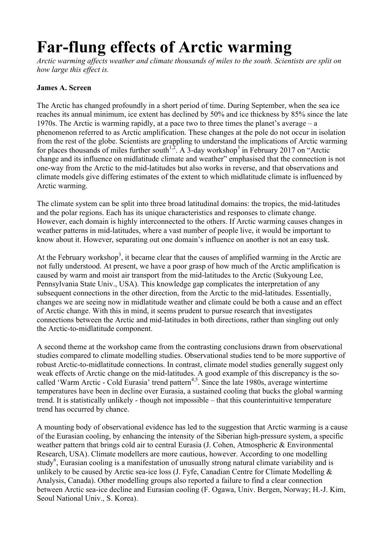## **Far-flung effects of Arctic warming**

*Arctic warming affects weather and climate thousands of miles to the south. Scientists are split on how large this effect is.* 

## **James A. Screen**

The Arctic has changed profoundly in a short period of time. During September, when the sea ice reaches its annual minimum, ice extent has declined by 50% and ice thickness by 85% since the late 1970s. The Arctic is warming rapidly, at a pace two to three times the planet's average – a phenomenon referred to as Arctic amplification. These changes at the pole do not occur in isolation from the rest of the globe. Scientists are grappling to understand the implications of Arctic warming for places thousands of miles further south<sup>1,2</sup>. A 3-day workshop<sup>3</sup> in February 2017 on "Arctic change and its influence on midlatitude climate and weather" emphasised that the connection is not one-way from the Arctic to the mid-latitudes but also works in reverse, and that observations and climate models give differing estimates of the extent to which midlatitude climate is influenced by Arctic warming.

The climate system can be split into three broad latitudinal domains: the tropics, the mid-latitudes and the polar regions. Each has its unique characteristics and responses to climate change. However, each domain is highly interconnected to the others. If Arctic warming causes changes in weather patterns in mid-latitudes, where a vast number of people live, it would be important to know about it. However, separating out one domain's influence on another is not an easy task.

At the February workshop<sup>3</sup>, it became clear that the causes of amplified warming in the Arctic are not fully understood. At present, we have a poor grasp of how much of the Arctic amplification is caused by warm and moist air transport from the mid-latitudes to the Arctic (Sukyoung Lee, Pennsylvania State Univ., USA). This knowledge gap complicates the interpretation of any subsequent connections in the other direction, from the Arctic to the mid-latitudes. Essentially, changes we are seeing now in midlatitude weather and climate could be both a cause and an effect of Arctic change. With this in mind, it seems prudent to pursue research that investigates connections between the Arctic and mid-latitudes in both directions, rather than singling out only the Arctic-to-midlatitude component.

A second theme at the workshop came from the contrasting conclusions drawn from observational studies compared to climate modelling studies. Observational studies tend to be more supportive of robust Arctic-to-midlatitude connections. In contrast, climate model studies generally suggest only weak effects of Arctic change on the mid-latitudes. A good example of this discrepancy is the socalled 'Warm Arctic - Cold Eurasia' trend pattern<sup>4,5</sup>. Since the late 1980s, average wintertime temperatures have been in decline over Eurasia, a sustained cooling that bucks the global warming trend. It is statistically unlikely - though not impossible – that this counterintuitive temperature trend has occurred by chance.

A mounting body of observational evidence has led to the suggestion that Arctic warming is a cause of the Eurasian cooling, by enhancing the intensity of the Siberian high-pressure system, a specific weather pattern that brings cold air to central Eurasia (J. Cohen, Atmospheric & Environmental Research, USA). Climate modellers are more cautious, however. According to one modelling study<sup>6</sup>, Eurasian cooling is a manifestation of unusually strong natural climate variability and is unlikely to be caused by Arctic sea-ice loss (J. Fyfe, Canadian Centre for Climate Modelling & Analysis, Canada). Other modelling groups also reported a failure to find a clear connection between Arctic sea-ice decline and Eurasian cooling (F. Ogawa, Univ. Bergen, Norway; H.-J. Kim, Seoul National Univ., S. Korea).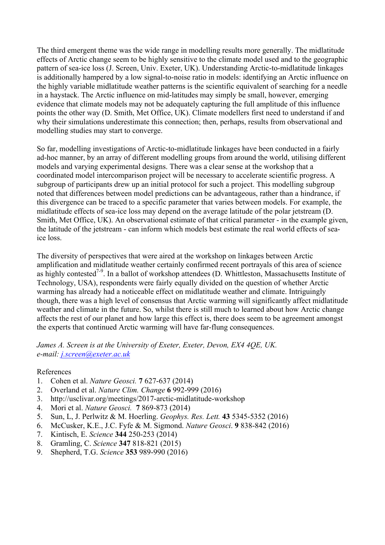The third emergent theme was the wide range in modelling results more generally. The midlatitude effects of Arctic change seem to be highly sensitive to the climate model used and to the geographic pattern of sea-ice loss (J. Screen, Univ. Exeter, UK). Understanding Arctic-to-midlatitude linkages is additionally hampered by a low signal-to-noise ratio in models: identifying an Arctic influence on the highly variable midlatitude weather patterns is the scientific equivalent of searching for a needle in a haystack. The Arctic influence on mid-latitudes may simply be small, however, emerging evidence that climate models may not be adequately capturing the full amplitude of this influence points the other way (D. Smith, Met Office, UK). Climate modellers first need to understand if and why their simulations underestimate this connection; then, perhaps, results from observational and modelling studies may start to converge.

So far, modelling investigations of Arctic-to-midlatitude linkages have been conducted in a fairly ad-hoc manner, by an array of different modelling groups from around the world, utilising different models and varying experimental designs. There was a clear sense at the workshop that a coordinated model intercomparison project will be necessary to accelerate scientific progress. A subgroup of participants drew up an initial protocol for such a project. This modelling subgroup noted that differences between model predictions can be advantageous, rather than a hindrance, if this divergence can be traced to a specific parameter that varies between models. For example, the midlatitude effects of sea-ice loss may depend on the average latitude of the polar jetstream (D. Smith, Met Office, UK). An observational estimate of that critical parameter - in the example given, the latitude of the jetstream - can inform which models best estimate the real world effects of seaice loss.

The diversity of perspectives that were aired at the workshop on linkages between Arctic amplification and midlatitude weather certainly confirmed recent portrayals of this area of science as highly contested<sup>7-9</sup>. In a ballot of workshop attendees (D. Whittleston, Massachusetts Institute of Technology, USA), respondents were fairly equally divided on the question of whether Arctic warming has already had a noticeable effect on midlatitude weather and climate. Intriguingly though, there was a high level of consensus that Arctic warming will significantly affect midlatitude weather and climate in the future. So, whilst there is still much to learned about how Arctic change affects the rest of our planet and how large this effect is, there does seem to be agreement amongst the experts that continued Arctic warming will have far-flung consequences.

*James A. Screen is at the University of Exeter, Exeter, Devon, EX4 4QE, UK. e-mail: j.screen@exeter.ac.uk*

## References

- 1. Cohen et al. *Nature Geosci.* **7** 627-637 (2014)
- 2. Overland et al. *Nature Clim. Change* **6** 992-999 (2016)
- 3. http://usclivar.org/meetings/2017-arctic-midlatitude-workshop
- 4. Mori et al. *Nature Geosci.* **7** 869-873 (2014)
- 5. Sun, L, J. Perlwitz & M. Hoerling. *Geophys. Res. Lett.* **43** 5345-5352 (2016)
- 6. McCusker, K.E., J.C. Fyfe & M. Sigmond. *Nature Geosci*. **9** 838-842 (2016)
- 7. Kintisch, E. *Science* **344** 250-253 (2014)
- 8. Gramling, C. *Science* **347** 818-821 (2015)
- 9. Shepherd, T.G. *Science* **353** 989-990 (2016)